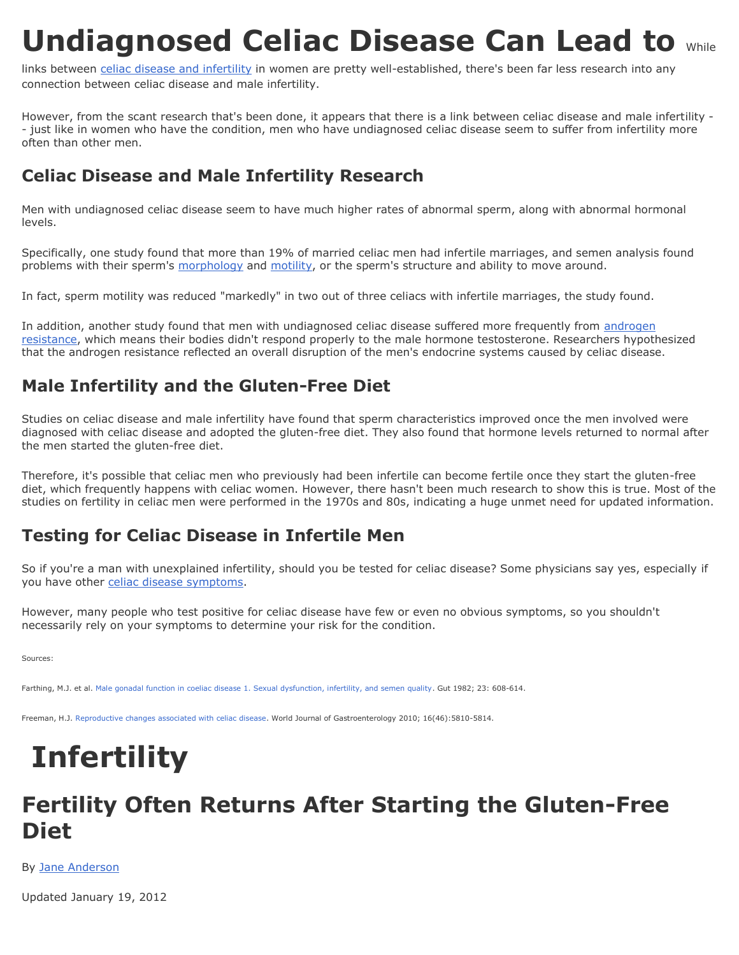## **Undiagnosed Celiac Disease Can Lead to While**

links between [celiac disease and infertility](http://celiacdisease.about.com/od/medicalguidelines/a/Undiagnosed-Celiac-Disease-Can-Lead-To-Infertility.htm) in women are pretty well-established, there's been far less research into any connection between celiac disease and male infertility.

However, from the scant research that's been done, it appears that there is a link between celiac disease and male infertility - - just like in women who have the condition, men who have undiagnosed celiac disease seem to suffer from infertility more often than other men.

## **Celiac Disease and Male Infertility Research**

Men with undiagnosed celiac disease seem to have much higher rates of abnormal sperm, along with abnormal hormonal levels.

Specifically, one study found that more than 19% of married celiac men had infertile marriages, and semen analysis found problems with their sperm's [morphology](http://infertility.about.com/od/infertilityglossary/g/spermmorphology.htm) and [motility,](http://infertility.about.com/od/infertilityglossarypz/g/sperm_motility.htm) or the sperm's structure and ability to move around.

In fact, sperm motility was reduced "markedly" in two out of three celiacs with infertile marriages, the study found.

In addition, another study found that men with undiagnosed celiac disease suffered more frequently from [androgen](http://adam.about.net/encyclopedia/001180sym.htm)  [resistance,](http://adam.about.net/encyclopedia/001180sym.htm) which means their bodies didn't respond properly to the male hormone testosterone. Researchers hypothesized that the androgen resistance reflected an overall disruption of the men's endocrine systems caused by celiac disease.

## **Male Infertility and the Gluten-Free Diet**

Studies on celiac disease and male infertility have found that sperm characteristics improved once the men involved were diagnosed with celiac disease and adopted the gluten-free diet. They also found that hormone levels returned to normal after the men started the gluten-free diet.

Therefore, it's possible that celiac men who previously had been infertile can become fertile once they start the gluten-free diet, which frequently happens with celiac women. However, there hasn't been much research to show this is true. Most of the studies on fertility in celiac men were performed in the 1970s and 80s, indicating a huge unmet need for updated information.

## **Testing for Celiac Disease in Infertile Men**

So if you're a man with unexplained infertility, should you be tested for celiac disease? Some physicians say yes, especially if you have other [celiac disease symptoms.](http://celiacdisease.about.com/od/symptomsofceliacdisease/a/celiacsymptoms.htm)

However, many people who test positive for celiac disease have few or even no obvious symptoms, so you shouldn't necessarily rely on your symptoms to determine your risk for the condition.

Sources:

Farthing, M.J. et al[. Male gonadal function in coeliac disease 1. Sexual dysfunction, infertility, and semen quality.](http://www.ncbi.nlm.nih.gov/pubmed/7200931) Gut 1982; 23: 608-614.

Freeman, H.J[. Reproductive changes associated with celiac disease.](http://www.wjgnet.com/1007-9327/16/5810.pdf) World Journal of Gastroenterology 2010; 16(46):5810-5814.

# **Infertility**

## **Fertility Often Returns After Starting the Gluten-Free Diet**

By [Jane Anderson](http://celiacdisease.about.com/bio/Jane-Anderson-79825.htm)

Updated January 19, 2012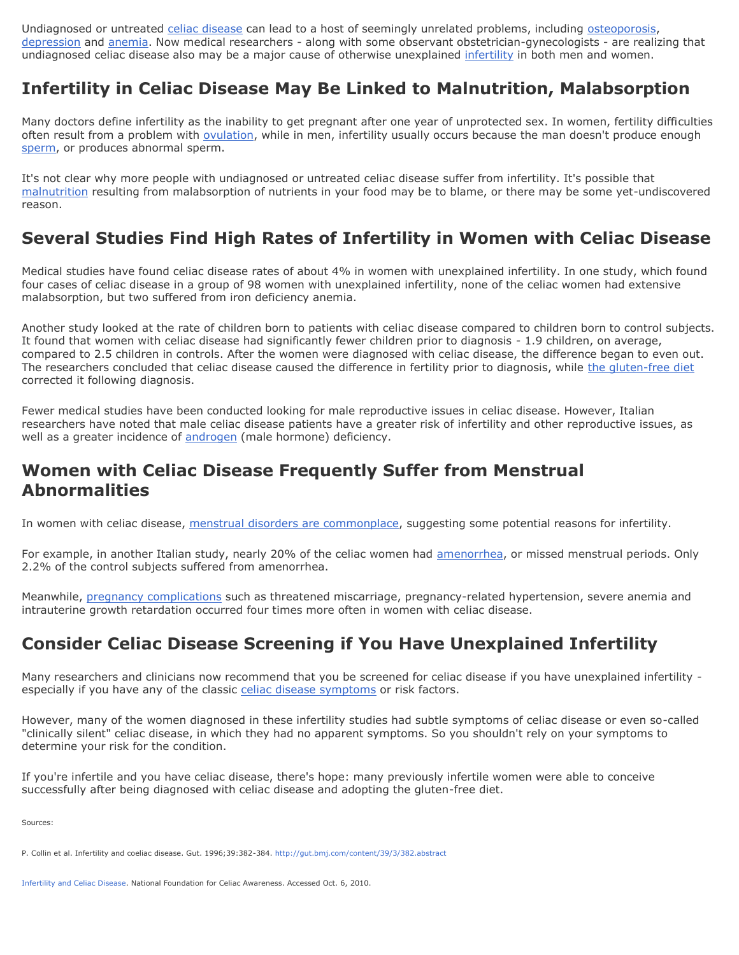Undiagnosed or untreated [celiac disease](http://celiacdisease.about.com/) can lead to a host of seemingly unrelated problems, including [osteoporosis,](http://celiacdisease.about.com/od/medicalguidelines/a/osteoporosis.htm) [depression](http://celiacdisease.about.com/od/symptomsofceliacdisease/a/Gluten-And-Depression.htm) and [anemia.](http://celiacdisease.about.com/od/symptomsofceliacdisease/a/CeliacAnemia.htm) Now medical researchers - along with some observant obstetrician-gynecologists - are realizing that undiagnosed celiac disease also may be a major cause of otherwise unexplained [infertility](http://infertility.about.com/) in both men and women.

## **Infertility in Celiac Disease May Be Linked to Malnutrition, Malabsorption**

Many doctors define infertility as the inability to get pregnant after one year of unprotected sex. In women, fertility difficulties often result from a problem with [ovulation,](http://pregnancy.about.com/cs/ovulation/a/aaovulation.htm) while in men, infertility usually occurs because the man doesn't produce enough [sperm,](http://pregnancy.about.com/cs/infertility/l/blsemenanalysis.htm) or produces abnormal sperm.

It's not clear why more people with undiagnosed or untreated celiac disease suffer from infertility. It's possible that [malnutrition](http://celiacdisease.about.com/od/commoncomplicationsofcd/a/Untreated-Celiac-Disease-Can-Cause-Malnutrition.htm) resulting from malabsorption of nutrients in your food may be to blame, or there may be some yet-undiscovered reason.

## **Several Studies Find High Rates of Infertility in Women with Celiac Disease**

Medical studies have found celiac disease rates of about 4% in women with unexplained infertility. In one study, which found four cases of celiac disease in a group of 98 women with unexplained infertility, none of the celiac women had extensive malabsorption, but two suffered from iron deficiency anemia.

Another study looked at the rate of children born to patients with celiac disease compared to children born to control subjects. It found that women with celiac disease had significantly fewer children prior to diagnosis - 1.9 children, on average, compared to 2.5 children in controls. After the women were diagnosed with celiac disease, the difference began to even out. The researchers concluded that celiac disease caused the difference in fertility prior to diagnosis, while [the gluten-free diet](http://celiacdisease.about.com/od/theglutenfreediet/u/TreatmentPath.htm) corrected it following diagnosis.

Fewer medical studies have been conducted looking for male reproductive issues in celiac disease. However, Italian researchers have noted that male celiac disease patients have a greater risk of infertility and other reproductive issues, as well as a greater incidence of [androgen](http://infertility.about.com/od/infertilityglossaryae/g/androgens.htm) (male hormone) deficiency.

#### **Women with Celiac Disease Frequently Suffer from Menstrual Abnormalities**

In women with celiac disease, [menstrual disorders are commonplace,](http://celiacdisease.about.com/b/2010/08/16/celiac-disease-affects-menstrual-cycle-italian-study-finds.htm) suggesting some potential reasons for infertility.

For example, in another Italian study, nearly 20% of the celiac women had [amenorrhea,](http://adam.about.net/reports/000101_3.htm) or missed menstrual periods. Only 2.2% of the control subjects suffered from amenorrhea.

Meanwhile, [pregnancy complications](http://womenshealth.about.com/cs/pregnancy/a/pregnancycompli.htm) such as threatened miscarriage, pregnancy-related hypertension, severe anemia and intrauterine growth retardation occurred four times more often in women with celiac disease.

## **Consider Celiac Disease Screening if You Have Unexplained Infertility**

Many researchers and clinicians now recommend that you be screened for celiac disease if you have unexplained infertility especially if you have any of the classic [celiac disease symptoms](http://celiacdisease.about.com/od/symptomsofceliacdisease/a/celiacsymptoms.htm) or risk factors.

However, many of the women diagnosed in these infertility studies had subtle symptoms of celiac disease or even so-called "clinically silent" celiac disease, in which they had no apparent symptoms. So you shouldn't rely on your symptoms to determine your risk for the condition.

If you're infertile and you have celiac disease, there's hope: many previously infertile women were able to conceive successfully after being diagnosed with celiac disease and adopting the gluten-free diet.

Sources:

P. Collin et al. Infertility and coeliac disease. Gut. 1996;39:382-384.<http://gut.bmj.com/content/39/3/382.abstract>